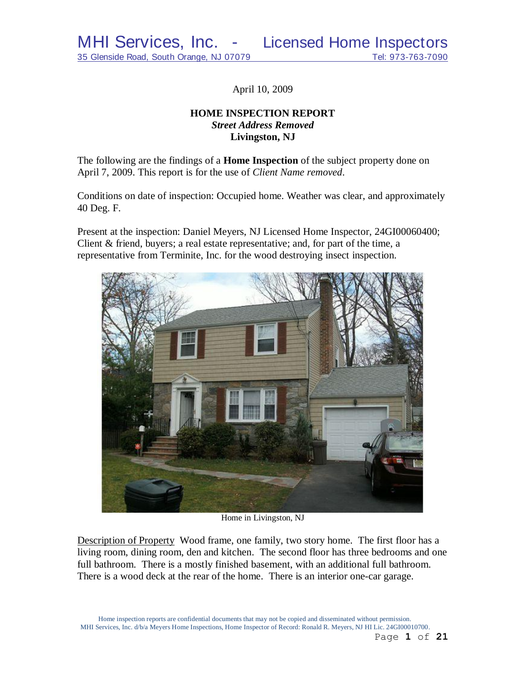April 10, 2009

# **HOME INSPECTION REPORT** *Street Address Removed*  **Livingston, NJ**

The following are the findings of a **Home Inspection** of the subject property done on April 7, 2009. This report is for the use of *Client Name removed*.

Conditions on date of inspection: Occupied home. Weather was clear, and approximately 40 Deg. F.

Present at the inspection: Daniel Meyers, NJ Licensed Home Inspector, 24GI00060400; Client & friend, buyers; a real estate representative; and, for part of the time, a representative from Terminite, Inc. for the wood destroying insect inspection.



Home in Livingston, NJ

Description of Property Wood frame, one family, two story home. The first floor has a living room, dining room, den and kitchen. The second floor has three bedrooms and one full bathroom. There is a mostly finished basement, with an additional full bathroom. There is a wood deck at the rear of the home. There is an interior one-car garage.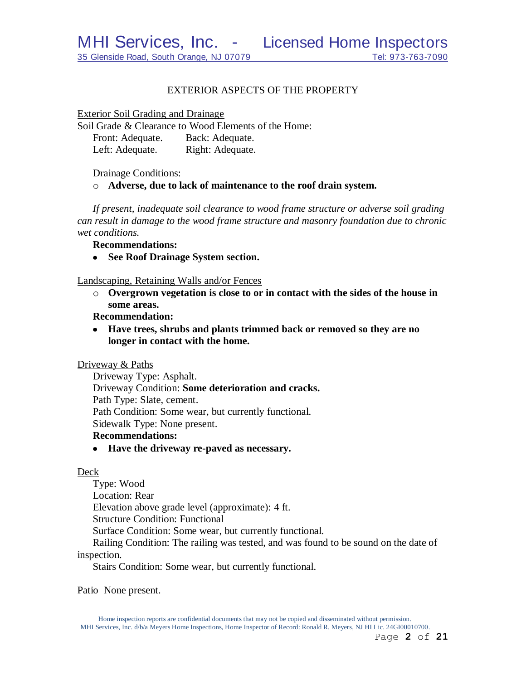## EXTERIOR ASPECTS OF THE PROPERTY

Exterior Soil Grading and Drainage

Soil Grade & Clearance to Wood Elements of the Home: Front: Adequate. Back: Adequate. Left: Adequate. Right: Adequate.

Drainage Conditions:

o **Adverse, due to lack of maintenance to the roof drain system.**

*If present, inadequate soil clearance to wood frame structure or adverse soil grading can result in damage to the wood frame structure and masonry foundation due to chronic wet conditions.*

**Recommendations:**

**See Roof Drainage System section.**  $\bullet$ 

Landscaping, Retaining Walls and/or Fences

o **Overgrown vegetation is close to or in contact with the sides of the house in some areas.**

**Recommendation:**

**Have trees, shrubs and plants trimmed back or removed so they are no longer in contact with the home.**

Driveway & Paths

Driveway Type: Asphalt. Driveway Condition: **Some deterioration and cracks.** Path Type: Slate, cement. Path Condition: Some wear, but currently functional. Sidewalk Type: None present.

## **Recommendations:**

**Have the driveway re-paved as necessary.**

#### Deck

Type: Wood Location: Rear Elevation above grade level (approximate): 4 ft. Structure Condition: Functional Surface Condition: Some wear, but currently functional. Railing Condition: The railing was tested, and was found to be sound on the date of inspection. Stairs Condition: Some wear, but currently functional.

Patio None present.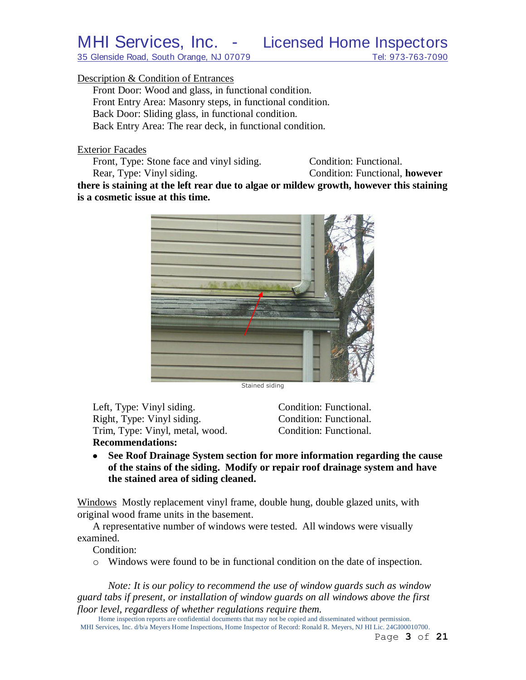35 Glenside Road, South Orange, NJ 07079 Tel: 973-763-7090

## Description & Condition of Entrances

Front Door: Wood and glass, in functional condition. Front Entry Area: Masonry steps, in functional condition. Back Door: Sliding glass, in functional condition. Back Entry Area: The rear deck, in functional condition.

Exterior Facades

Front, Type: Stone face and vinyl siding. Condition: Functional. Rear, Type: Vinyl siding. Condition: Functional, **however** 

**there is staining at the left rear due to algae or mildew growth, however this staining is a cosmetic issue at this time.**



Stained siding

Left, Type: Vinyl siding. Condition: Functional. Right, Type: Vinyl siding. Condition: Functional. Trim, Type: Vinyl, metal, wood. Condition: Functional. **Recommendations:**

**See Roof Drainage System section for more information regarding the cause**   $\bullet$ **of the stains of the siding. Modify or repair roof drainage system and have the stained area of siding cleaned.**

Windows Mostly replacement vinyl frame, double hung, double glazed units, with original wood frame units in the basement.

A representative number of windows were tested. All windows were visually examined.

Condition:

o Windows were found to be in functional condition on the date of inspection.

*Note: It is our policy to recommend the use of window guards such as window guard tabs if present, or installation of window guards on all windows above the first floor level, regardless of whether regulations require them.*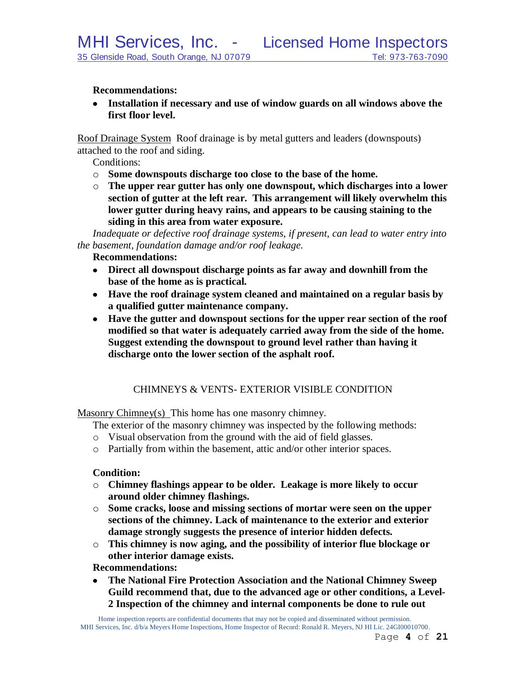## **Recommendations:**

**Installation if necessary and use of window guards on all windows above the first floor level.**

Roof Drainage System Roof drainage is by metal gutters and leaders (downspouts) attached to the roof and siding.

Conditions:

- o **Some downspouts discharge too close to the base of the home.**
- o **The upper rear gutter has only one downspout, which discharges into a lower section of gutter at the left rear. This arrangement will likely overwhelm this lower gutter during heavy rains, and appears to be causing staining to the siding in this area from water exposure.**

*Inadequate or defective roof drainage systems, if present, can lead to water entry into the basement, foundation damage and/or roof leakage.*

#### **Recommendations:**

- **Direct all downspout discharge points as far away and downhill from the base of the home as is practical.**
- **Have the roof drainage system cleaned and maintained on a regular basis by a qualified gutter maintenance company.**
- **Have the gutter and downspout sections for the upper rear section of the roof modified so that water is adequately carried away from the side of the home. Suggest extending the downspout to ground level rather than having it discharge onto the lower section of the asphalt roof.**

# CHIMNEYS & VENTS- EXTERIOR VISIBLE CONDITION

Masonry Chimney(s) This home has one masonry chimney.

The exterior of the masonry chimney was inspected by the following methods:

- o Visual observation from the ground with the aid of field glasses.
- o Partially from within the basement, attic and/or other interior spaces.

#### **Condition:**

- o **Chimney flashings appear to be older. Leakage is more likely to occur around older chimney flashings.**
- o **Some cracks, loose and missing sections of mortar were seen on the upper sections of the chimney. Lack of maintenance to the exterior and exterior damage strongly suggests the presence of interior hidden defects.**
- o **This chimney is now aging, and the possibility of interior flue blockage or other interior damage exists.**

**Recommendations:**

**The National Fire Protection Association and the National Chimney Sweep Guild recommend that, due to the advanced age or other conditions, a Level-2 Inspection of the chimney and internal components be done to rule out**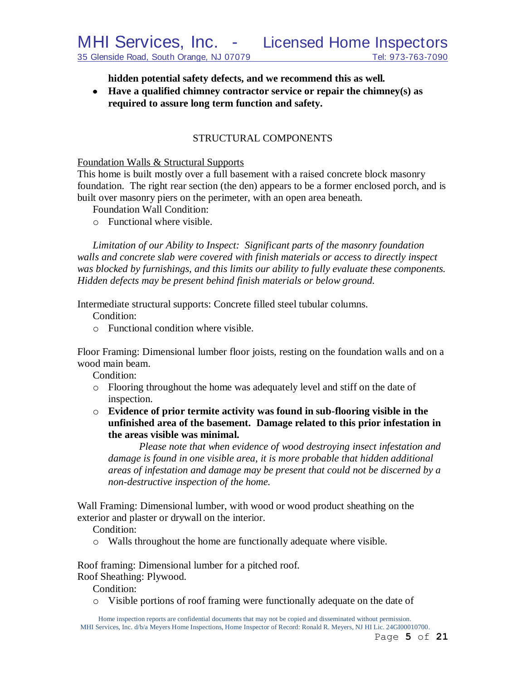**hidden potential safety defects, and we recommend this as well***.*

**Have a qualified chimney contractor service or repair the chimney(s) as required to assure long term function and safety.**

# STRUCTURAL COMPONENTS

#### Foundation Walls & Structural Supports

This home is built mostly over a full basement with a raised concrete block masonry foundation. The right rear section (the den) appears to be a former enclosed porch, and is built over masonry piers on the perimeter, with an open area beneath.

- Foundation Wall Condition:
- o Functional where visible.

*Limitation of our Ability to Inspect: Significant parts of the masonry foundation walls and concrete slab were covered with finish materials or access to directly inspect was blocked by furnishings, and this limits our ability to fully evaluate these components. Hidden defects may be present behind finish materials or below ground.*

Intermediate structural supports: Concrete filled steel tubular columns.

Condition:

o Functional condition where visible.

Floor Framing: Dimensional lumber floor joists, resting on the foundation walls and on a wood main beam.

Condition:

- o Flooring throughout the home was adequately level and stiff on the date of inspection.
- o **Evidence of prior termite activity was found in sub-flooring visible in the unfinished area of the basement. Damage related to this prior infestation in the areas visible was minimal.**

*Please note that when evidence of wood destroying insect infestation and damage is found in one visible area, it is more probable that hidden additional areas of infestation and damage may be present that could not be discerned by a non-destructive inspection of the home.*

Wall Framing: Dimensional lumber, with wood or wood product sheathing on the exterior and plaster or drywall on the interior.

Condition:

o Walls throughout the home are functionally adequate where visible.

Roof framing: Dimensional lumber for a pitched roof.

Roof Sheathing: Plywood.

Condition:

o Visible portions of roof framing were functionally adequate on the date of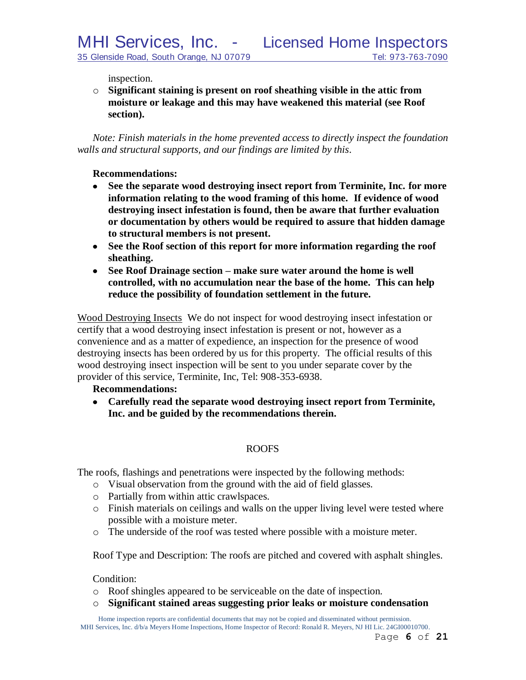inspection.

o **Significant staining is present on roof sheathing visible in the attic from moisture or leakage and this may have weakened this material (see Roof section).**

*Note: Finish materials in the home prevented access to directly inspect the foundation walls and structural supports, and our findings are limited by this*.

## **Recommendations:**

- **See the separate wood destroying insect report from Terminite, Inc. for more information relating to the wood framing of this home. If evidence of wood destroying insect infestation is found, then be aware that further evaluation or documentation by others would be required to assure that hidden damage to structural members is not present.**
- **See the Roof section of this report for more information regarding the roof sheathing.**
- **See Roof Drainage section – make sure water around the home is well controlled, with no accumulation near the base of the home. This can help reduce the possibility of foundation settlement in the future.**

Wood Destroying Insects We do not inspect for wood destroying insect infestation or certify that a wood destroying insect infestation is present or not, however as a convenience and as a matter of expedience, an inspection for the presence of wood destroying insects has been ordered by us for this property. The official results of this wood destroying insect inspection will be sent to you under separate cover by the provider of this service, Terminite, Inc, Tel: 908-353-6938.

## **Recommendations:**

**Carefully read the separate wood destroying insect report from Terminite, Inc. and be guided by the recommendations therein.**

# ROOFS

The roofs, flashings and penetrations were inspected by the following methods:

- o Visual observation from the ground with the aid of field glasses.
- o Partially from within attic crawlspaces.
- o Finish materials on ceilings and walls on the upper living level were tested where possible with a moisture meter.
- o The underside of the roof was tested where possible with a moisture meter.

Roof Type and Description: The roofs are pitched and covered with asphalt shingles.

## Condition:

- o Roof shingles appeared to be serviceable on the date of inspection.
- o **Significant stained areas suggesting prior leaks or moisture condensation**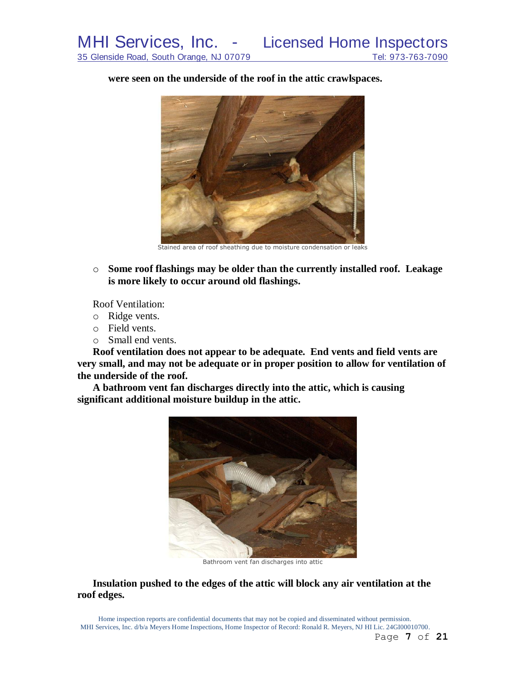**were seen on the underside of the roof in the attic crawlspaces.**



Stained area of roof sheathing due to moisture condensation or leaks

o **Some roof flashings may be older than the currently installed roof. Leakage is more likely to occur around old flashings.**

Roof Ventilation:

- o Ridge vents.
- o Field vents.
- o Small end vents.

**Roof ventilation does not appear to be adequate. End vents and field vents are very small, and may not be adequate or in proper position to allow for ventilation of the underside of the roof.**

**A bathroom vent fan discharges directly into the attic, which is causing significant additional moisture buildup in the attic.**



Bathroom vent fan discharges into attic

**Insulation pushed to the edges of the attic will block any air ventilation at the roof edges.**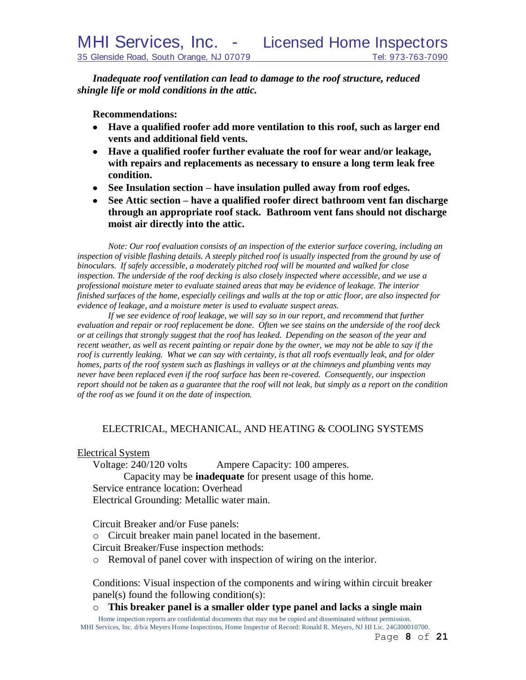*Inadequate roof ventilation can lead to damage to the roof structure, reduced shingle life or mold conditions in the attic.*

**Recommendations:**

- **Have a qualified roofer add more ventilation to this roof, such as larger end vents and additional field vents.**
- **Have a qualified roofer further evaluate the roof for wear and/or leakage, with repairs and replacements as necessary to ensure a long term leak free condition.**
- **See Insulation section – have insulation pulled away from roof edges.**
- **See Attic section – have a qualified roofer direct bathroom vent fan discharge through an appropriate roof stack. Bathroom vent fans should not discharge moist air directly into the attic.**

*Note: Our roof evaluation consists of an inspection of the exterior surface covering, including an*  inspection of visible flashing details. A steeply pitched roof is usually inspected from the ground by use of *binoculars. If safely accessible, a moderately pitched roof will be mounted and walked for close inspection. The underside of the roof decking is also closely inspected where accessible, and we use a professional moisture meter to evaluate stained areas that may be evidence of leakage. The interior finished surfaces of the home, especially ceilings and walls at the top or attic floor, are also inspected for evidence of leakage, and a moisture meter is used to evaluate suspect areas.*

*If we see evidence of roof leakage, we will say so in our report, and recommend that further evaluation and repair or roof replacement be done. Often we see stains on the underside of the roof deck or at ceilings that strongly suggest that the roof has leaked. Depending on the season of the year and recent weather, as well as recent painting or repair done by the owner, we may not be able to say if the roof is currently leaking. What we can say with certainty, is that all roofs eventually leak, and for older homes, parts of the roof system such as flashings in valleys or at the chimneys and plumbing vents may never have been replaced even if the roof surface has been re-covered. Consequently, our inspection report should not be taken as a guarantee that the roof will not leak, but simply as a report on the condition of the roof as we found it on the date of inspection.*

# ELECTRICAL, MECHANICAL, AND HEATING & COOLING SYSTEMS

Electrical System

Voltage: 240/120 volts Ampere Capacity: 100 amperes. Capacity may be **inadequate** for present usage of this home. Service entrance location: Overhead Electrical Grounding: Metallic water main.

Circuit Breaker and/or Fuse panels:

o Circuit breaker main panel located in the basement.

Circuit Breaker/Fuse inspection methods:

o Removal of panel cover with inspection of wiring on the interior.

Conditions: Visual inspection of the components and wiring within circuit breaker panel(s) found the following condition(s):

o **This breaker panel is a smaller older type panel and lacks a single main**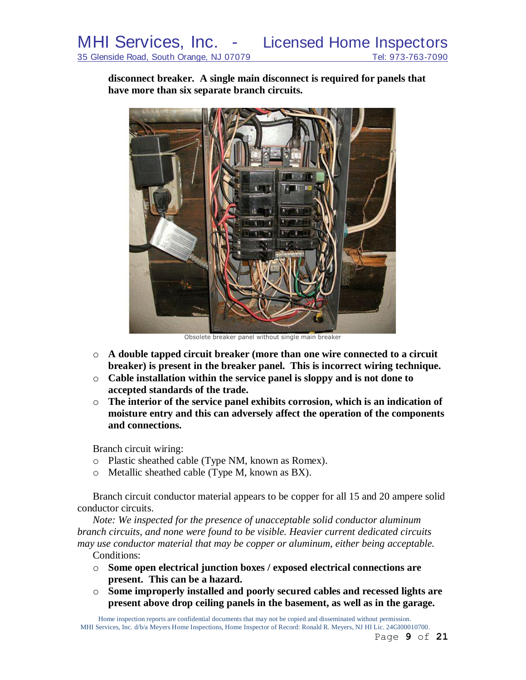**disconnect breaker. A single main disconnect is required for panels that have more than six separate branch circuits.**



Obsolete breaker panel without single main breaker

- o **A double tapped circuit breaker (more than one wire connected to a circuit breaker) is present in the breaker panel. This is incorrect wiring technique.**
- o **Cable installation within the service panel is sloppy and is not done to accepted standards of the trade.**
- o **The interior of the service panel exhibits corrosion, which is an indication of moisture entry and this can adversely affect the operation of the components and connections.**

Branch circuit wiring:

- o Plastic sheathed cable (Type NM, known as Romex).
- o Metallic sheathed cable (Type M, known as BX).

Branch circuit conductor material appears to be copper for all 15 and 20 ampere solid conductor circuits.

*Note: We inspected for the presence of unacceptable solid conductor aluminum branch circuits, and none were found to be visible. Heavier current dedicated circuits may use conductor material that may be copper or aluminum, either being acceptable.* Conditions:

- o **Some open electrical junction boxes / exposed electrical connections are present. This can be a hazard.**
- o **Some improperly installed and poorly secured cables and recessed lights are present above drop ceiling panels in the basement, as well as in the garage.**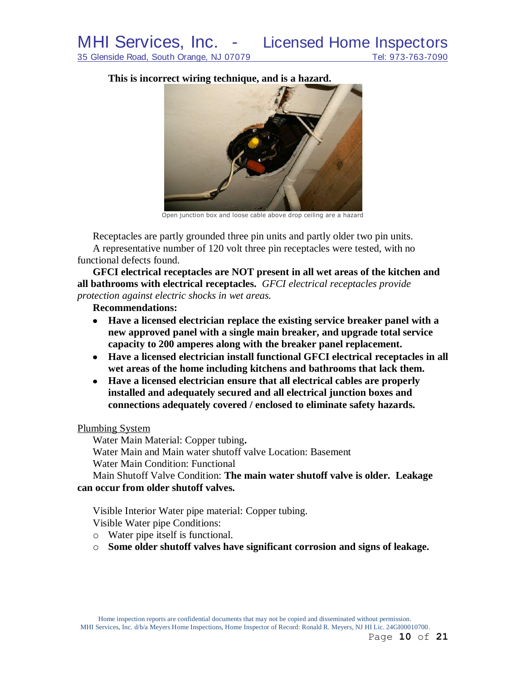**This is incorrect wiring technique, and is a hazard.**



Open junction box and loose cable above drop ceiling are a hazard

Receptacles are partly grounded three pin units and partly older two pin units. A representative number of 120 volt three pin receptacles were tested, with no functional defects found.

**GFCI electrical receptacles are NOT present in all wet areas of the kitchen and all bathrooms with electrical receptacles.** *GFCI electrical receptacles provide protection against electric shocks in wet areas.*

# **Recommendations:**

- **Have a licensed electrician replace the existing service breaker panel with a new approved panel with a single main breaker, and upgrade total service capacity to 200 amperes along with the breaker panel replacement.**
- **Have a licensed electrician install functional GFCI electrical receptacles in all wet areas of the home including kitchens and bathrooms that lack them.**
- **Have a licensed electrician ensure that all electrical cables are properly installed and adequately secured and all electrical junction boxes and connections adequately covered / enclosed to eliminate safety hazards.**

# Plumbing System

Water Main Material: Copper tubing**.** Water Main and Main water shutoff valve Location: Basement Water Main Condition: Functional

Main Shutoff Valve Condition: **The main water shutoff valve is older. Leakage can occur from older shutoff valves.**

Visible Interior Water pipe material: Copper tubing. Visible Water pipe Conditions:

o Water pipe itself is functional.

o **Some older shutoff valves have significant corrosion and signs of leakage.**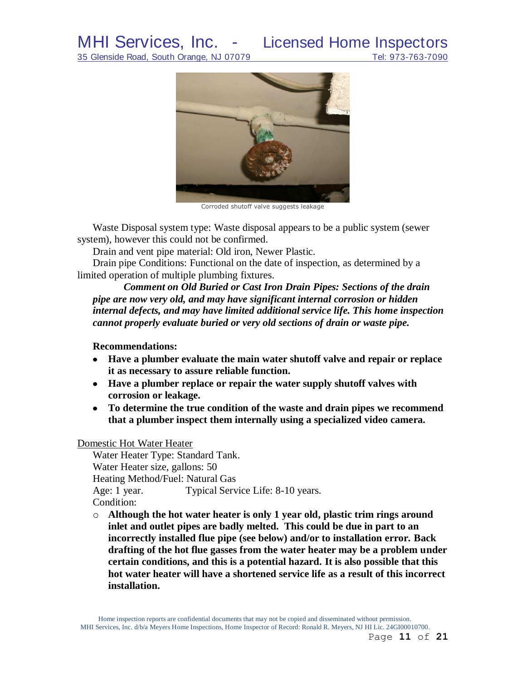# MHI Services, Inc. - Licensed Home Inspectors

35 Glenside Road, South Orange, NJ 07079 Tel: 973-763-7090



Corroded shutoff valve suggests leakage

Waste Disposal system type: Waste disposal appears to be a public system (sewer system), however this could not be confirmed.

Drain and vent pipe material: Old iron, Newer Plastic.

Drain pipe Conditions: Functional on the date of inspection, as determined by a limited operation of multiple plumbing fixtures.

*Comment on Old Buried or Cast Iron Drain Pipes: Sections of the drain pipe are now very old, and may have significant internal corrosion or hidden internal defects, and may have limited additional service life. This home inspection cannot properly evaluate buried or very old sections of drain or waste pipe.*

## **Recommendations:**

- **Have a plumber evaluate the main water shutoff valve and repair or replace it as necessary to assure reliable function.**
- **Have a plumber replace or repair the water supply shutoff valves with corrosion or leakage.**
- **To determine the true condition of the waste and drain pipes we recommend that a plumber inspect them internally using a specialized video camera.**

Domestic Hot Water Heater

Water Heater Type: Standard Tank. Water Heater size, gallons: 50 Heating Method/Fuel: Natural Gas Age: 1 year. Typical Service Life: 8-10 years. Condition:

o **Although the hot water heater is only 1 year old, plastic trim rings around inlet and outlet pipes are badly melted. This could be due in part to an incorrectly installed flue pipe (see below) and/or to installation error. Back drafting of the hot flue gasses from the water heater may be a problem under certain conditions, and this is a potential hazard. It is also possible that this hot water heater will have a shortened service life as a result of this incorrect installation.**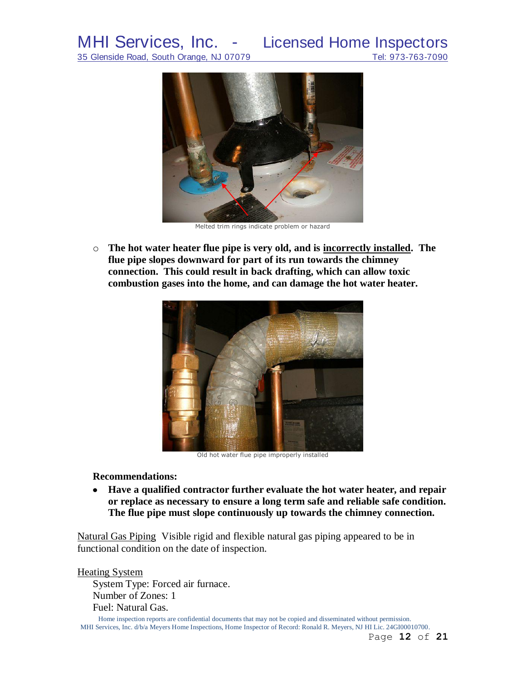MHI Services, Inc. - Licensed Home Inspectors<br>35 Glenside Road, South Orange, NJ 07079 Tel: 973-763-7090

35 Glenside Road, South Orange, NJ 07079



Melted trim rings indicate problem or hazard

o **The hot water heater flue pipe is very old, and is incorrectly installed. The flue pipe slopes downward for part of its run towards the chimney connection. This could result in back drafting, which can allow toxic combustion gases into the home, and can damage the hot water heater.**



Old hot water flue pipe improperly installed

**Recommendations:**

**Have a qualified contractor further evaluate the hot water heater, and repair or replace as necessary to ensure a long term safe and reliable safe condition. The flue pipe must slope continuously up towards the chimney connection.**

Natural Gas Piping Visible rigid and flexible natural gas piping appeared to be in functional condition on the date of inspection.

Heating System

System Type: Forced air furnace. Number of Zones: 1 Fuel: Natural Gas.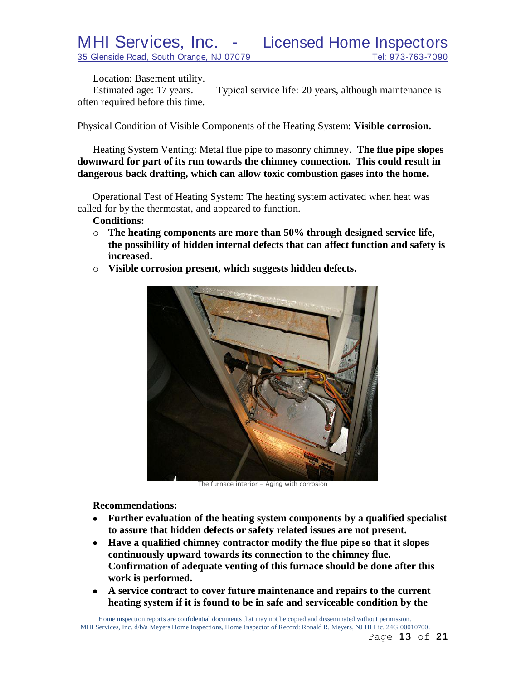Location: Basement utility.

Estimated age: 17 years. Typical service life: 20 years, although maintenance is often required before this time.

Physical Condition of Visible Components of the Heating System: **Visible corrosion.**

Heating System Venting: Metal flue pipe to masonry chimney. **The flue pipe slopes downward for part of its run towards the chimney connection. This could result in dangerous back drafting, which can allow toxic combustion gases into the home.**

Operational Test of Heating System: The heating system activated when heat was called for by the thermostat, and appeared to function.

**Conditions:**

- o **The heating components are more than 50% through designed service life, the possibility of hidden internal defects that can affect function and safety is increased.**
- o **Visible corrosion present, which suggests hidden defects.**



The furnace interior – Aging with corrosion

**Recommendations:**

- **Further evaluation of the heating system components by a qualified specialist to assure that hidden defects or safety related issues are not present.**
- **Have a qualified chimney contractor modify the flue pipe so that it slopes**   $\bullet$ **continuously upward towards its connection to the chimney flue. Confirmation of adequate venting of this furnace should be done after this work is performed.**
- **A service contract to cover future maintenance and repairs to the current**   $\bullet$ **heating system if it is found to be in safe and serviceable condition by the**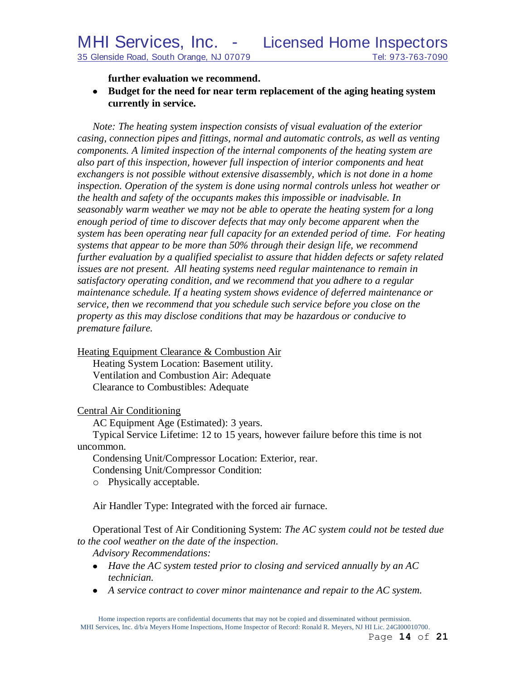**further evaluation we recommend.**

**Budget for the need for near term replacement of the aging heating system currently in service.**

*Note: The heating system inspection consists of visual evaluation of the exterior casing, connection pipes and fittings, normal and automatic controls, as well as venting components. A limited inspection of the internal components of the heating system are also part of this inspection, however full inspection of interior components and heat exchangers is not possible without extensive disassembly, which is not done in a home inspection. Operation of the system is done using normal controls unless hot weather or the health and safety of the occupants makes this impossible or inadvisable. In seasonably warm weather we may not be able to operate the heating system for a long enough period of time to discover defects that may only become apparent when the system has been operating near full capacity for an extended period of time. For heating systems that appear to be more than 50% through their design life, we recommend further evaluation by a qualified specialist to assure that hidden defects or safety related issues are not present. All heating systems need regular maintenance to remain in satisfactory operating condition, and we recommend that you adhere to a regular maintenance schedule. If a heating system shows evidence of deferred maintenance or service, then we recommend that you schedule such service before you close on the property as this may disclose conditions that may be hazardous or conducive to premature failure.*

Heating Equipment Clearance & Combustion Air Heating System Location: Basement utility. Ventilation and Combustion Air: Adequate Clearance to Combustibles: Adequate

#### Central Air Conditioning

AC Equipment Age (Estimated): 3 years.

Typical Service Lifetime: 12 to 15 years, however failure before this time is not uncommon.

Condensing Unit/Compressor Location: Exterior, rear.

Condensing Unit/Compressor Condition:

o Physically acceptable.

Air Handler Type: Integrated with the forced air furnace.

Operational Test of Air Conditioning System: *The AC system could not be tested due to the cool weather on the date of the inspection.*

*Advisory Recommendations:* 

- *Have the AC system tested prior to closing and serviced annually by an AC technician.*
- *A service contract to cover minor maintenance and repair to the AC system.*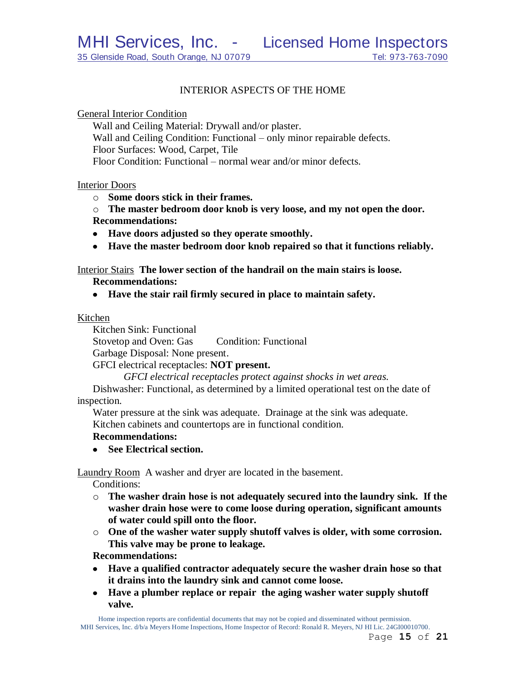## INTERIOR ASPECTS OF THE HOME

General Interior Condition

Wall and Ceiling Material: Drywall and/or plaster. Wall and Ceiling Condition: Functional – only minor repairable defects. Floor Surfaces: Wood, Carpet, Tile

Floor Condition: Functional – normal wear and/or minor defects.

Interior Doors

o **Some doors stick in their frames.**

o **The master bedroom door knob is very loose, and my not open the door. Recommendations:**

- **Have doors adjusted so they operate smoothly.**
- **Have the master bedroom door knob repaired so that it functions reliably.**

Interior Stairs **The lower section of the handrail on the main stairs is loose.**

**Recommendations:**

**Have the stair rail firmly secured in place to maintain safety.**

#### Kitchen

Kitchen Sink: Functional

Stovetop and Oven: Gas Condition: Functional

Garbage Disposal: None present.

GFCI electrical receptacles: **NOT present.**

*GFCI electrical receptacles protect against shocks in wet areas.*

Dishwasher: Functional, as determined by a limited operational test on the date of inspection.

Water pressure at the sink was adequate. Drainage at the sink was adequate. Kitchen cabinets and countertops are in functional condition.

## **Recommendations:**

**See Electrical section.**

Laundry Room A washer and dryer are located in the basement.

Conditions:

- o **The washer drain hose is not adequately secured into the laundry sink. If the washer drain hose were to come loose during operation, significant amounts of water could spill onto the floor.**
- o **One of the washer water supply shutoff valves is older, with some corrosion. This valve may be prone to leakage.**

**Recommendations:**

- **Have a qualified contractor adequately secure the washer drain hose so that it drains into the laundry sink and cannot come loose.**
- **Have a plumber replace or repair the aging washer water supply shutoff valve.**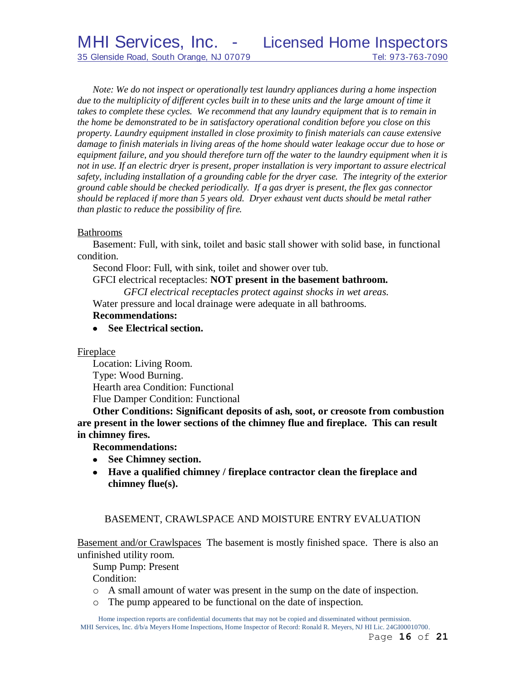*Note: We do not inspect or operationally test laundry appliances during a home inspection*  due to the multiplicity of different cycles built in to these units and the large amount of time it *takes to complete these cycles. We recommend that any laundry equipment that is to remain in the home be demonstrated to be in satisfactory operational condition before you close on this property. Laundry equipment installed in close proximity to finish materials can cause extensive damage to finish materials in living areas of the home should water leakage occur due to hose or equipment failure, and you should therefore turn off the water to the laundry equipment when it is not in use. If an electric dryer is present, proper installation is very important to assure electrical safety, including installation of a grounding cable for the dryer case. The integrity of the exterior ground cable should be checked periodically. If a gas dryer is present, the flex gas connector should be replaced if more than 5 years old. Dryer exhaust vent ducts should be metal rather than plastic to reduce the possibility of fire.*

#### Bathrooms

Basement: Full, with sink, toilet and basic stall shower with solid base, in functional condition.

Second Floor: Full, with sink, toilet and shower over tub.

# GFCI electrical receptacles: **NOT present in the basement bathroom.**

*GFCI electrical receptacles protect against shocks in wet areas.*

Water pressure and local drainage were adequate in all bathrooms.

## **Recommendations:**

**See Electrical section.**

## Fireplace

Location: Living Room. Type: Wood Burning. Hearth area Condition: Functional Flue Damper Condition: Functional

**Other Conditions: Significant deposits of ash, soot, or creosote from combustion are present in the lower sections of the chimney flue and fireplace. This can result in chimney fires.**

**Recommendations:**

- **See Chimney section.**
- **Have a qualified chimney / fireplace contractor clean the fireplace and chimney flue(s).**

## BASEMENT, CRAWLSPACE AND MOISTURE ENTRY EVALUATION

Basement and/or Crawlspaces The basement is mostly finished space. There is also an unfinished utility room.

Sump Pump: Present

Condition:

- o A small amount of water was present in the sump on the date of inspection.
- o The pump appeared to be functional on the date of inspection.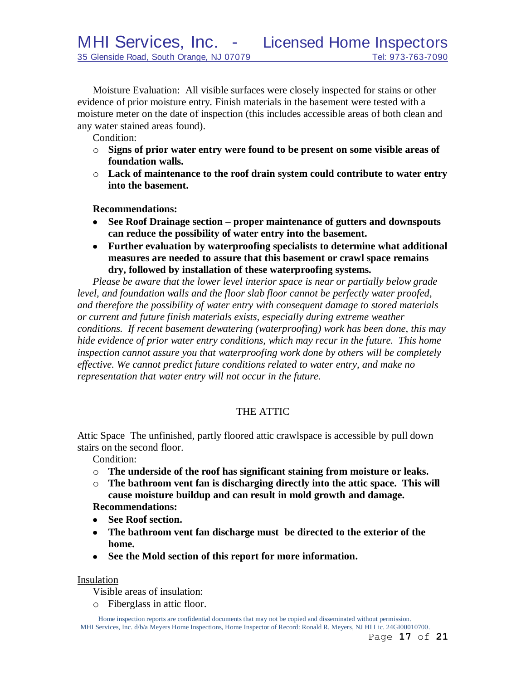Moisture Evaluation: All visible surfaces were closely inspected for stains or other evidence of prior moisture entry. Finish materials in the basement were tested with a moisture meter on the date of inspection (this includes accessible areas of both clean and any water stained areas found).

Condition:

- o **Signs of prior water entry were found to be present on some visible areas of foundation walls.**
- o **Lack of maintenance to the roof drain system could contribute to water entry into the basement.**

**Recommendations:**

- **See Roof Drainage section – proper maintenance of gutters and downspouts**   $\bullet$ **can reduce the possibility of water entry into the basement.**
- **Further evaluation by waterproofing specialists to determine what additional measures are needed to assure that this basement or crawl space remains dry, followed by installation of these waterproofing systems.**

*Please be aware that the lower level interior space is near or partially below grade level, and foundation walls and the floor slab floor cannot be perfectly water proofed, and therefore the possibility of water entry with consequent damage to stored materials or current and future finish materials exists, especially during extreme weather conditions. If recent basement dewatering (waterproofing) work has been done, this may hide evidence of prior water entry conditions, which may recur in the future. This home inspection cannot assure you that waterproofing work done by others will be completely effective. We cannot predict future conditions related to water entry, and make no representation that water entry will not occur in the future.*

# THE ATTIC

Attic Space The unfinished, partly floored attic crawlspace is accessible by pull down stairs on the second floor.

Condition:

- o **The underside of the roof has significant staining from moisture or leaks.**
- o **The bathroom vent fan is discharging directly into the attic space. This will cause moisture buildup and can result in mold growth and damage.**

**Recommendations:**

- **See Roof section.**
- **The bathroom vent fan discharge must be directed to the exterior of the home.**
- **See the Mold section of this report for more information.**

Insulation

Visible areas of insulation:

o Fiberglass in attic floor.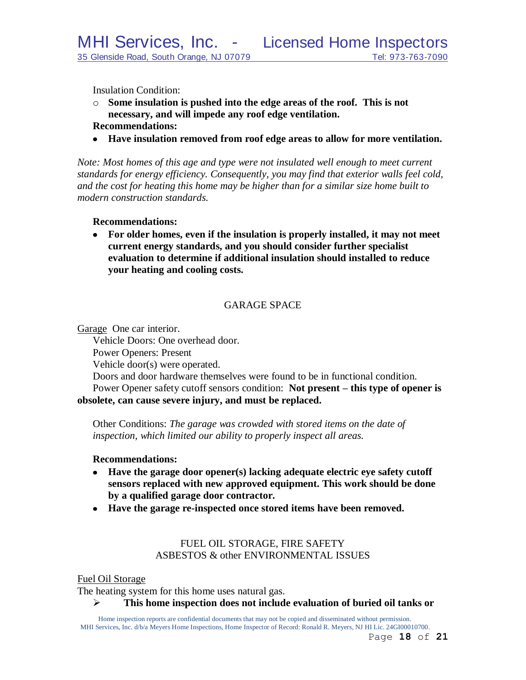Insulation Condition:

- o **Some insulation is pushed into the edge areas of the roof. This is not necessary, and will impede any roof edge ventilation.**
- **Recommendations:**
- **Have insulation removed from roof edge areas to allow for more ventilation.**

*Note: Most homes of this age and type were not insulated well enough to meet current standards for energy efficiency. Consequently, you may find that exterior walls feel cold, and the cost for heating this home may be higher than for a similar size home built to modern construction standards.*

#### **Recommendations:**

 $\bullet$ **For older homes, even if the insulation is properly installed, it may not meet current energy standards, and you should consider further specialist evaluation to determine if additional insulation should installed to reduce your heating and cooling costs.**

# GARAGE SPACE

Garage One car interior.

Vehicle Doors: One overhead door.

Power Openers: Present

Vehicle door(s) were operated.

Doors and door hardware themselves were found to be in functional condition. Power Opener safety cutoff sensors condition: **Not present – this type of opener is obsolete, can cause severe injury, and must be replaced.**

Other Conditions: *The garage was crowded with stored items on the date of inspection, which limited our ability to properly inspect all areas.*

#### **Recommendations:**

- **Have the garage door opener(s) lacking adequate electric eye safety cutoff sensors replaced with new approved equipment. This work should be done by a qualified garage door contractor.**
- **Have the garage re-inspected once stored items have been removed.**

# FUEL OIL STORAGE, FIRE SAFETY ASBESTOS & other ENVIRONMENTAL ISSUES

#### Fuel Oil Storage

The heating system for this home uses natural gas.

**This home inspection does not include evaluation of buried oil tanks or**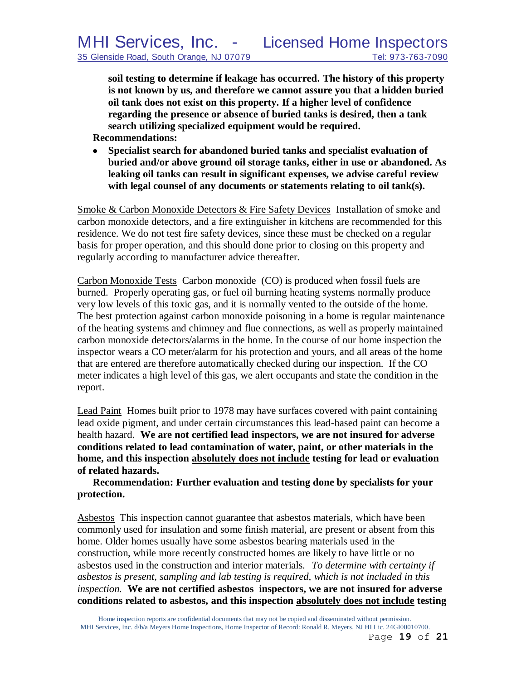**soil testing to determine if leakage has occurred. The history of this property is not known by us, and therefore we cannot assure you that a hidden buried oil tank does not exist on this property. If a higher level of confidence regarding the presence or absence of buried tanks is desired, then a tank search utilizing specialized equipment would be required.**

**Recommendations:**

 $\bullet$ **Specialist search for abandoned buried tanks and specialist evaluation of buried and/or above ground oil storage tanks, either in use or abandoned. As leaking oil tanks can result in significant expenses, we advise careful review with legal counsel of any documents or statements relating to oil tank(s).** 

Smoke & Carbon Monoxide Detectors & Fire Safety Devices Installation of smoke and carbon monoxide detectors, and a fire extinguisher in kitchens are recommended for this residence. We do not test fire safety devices, since these must be checked on a regular basis for proper operation, and this should done prior to closing on this property and regularly according to manufacturer advice thereafter.

Carbon Monoxide Tests Carbon monoxide (CO) is produced when fossil fuels are burned. Properly operating gas, or fuel oil burning heating systems normally produce very low levels of this toxic gas, and it is normally vented to the outside of the home. The best protection against carbon monoxide poisoning in a home is regular maintenance of the heating systems and chimney and flue connections, as well as properly maintained carbon monoxide detectors/alarms in the home. In the course of our home inspection the inspector wears a CO meter/alarm for his protection and yours, and all areas of the home that are entered are therefore automatically checked during our inspection. If the CO meter indicates a high level of this gas, we alert occupants and state the condition in the report.

Lead Paint Homes built prior to 1978 may have surfaces covered with paint containing lead oxide pigment, and under certain circumstances this lead-based paint can become a health hazard. **We are not certified lead inspectors, we are not insured for adverse conditions related to lead contamination of water, paint, or other materials in the home, and this inspection absolutely does not include testing for lead or evaluation of related hazards.** 

**Recommendation: Further evaluation and testing done by specialists for your protection.**

Asbestos This inspection cannot guarantee that asbestos materials, which have been commonly used for insulation and some finish material, are present or absent from this home. Older homes usually have some asbestos bearing materials used in the construction, while more recently constructed homes are likely to have little or no asbestos used in the construction and interior materials. *To determine with certainty if asbestos is present, sampling and lab testing is required, which is not included in this inspection.* **We are not certified asbestos inspectors, we are not insured for adverse conditions related to asbestos, and this inspection absolutely does not include testing**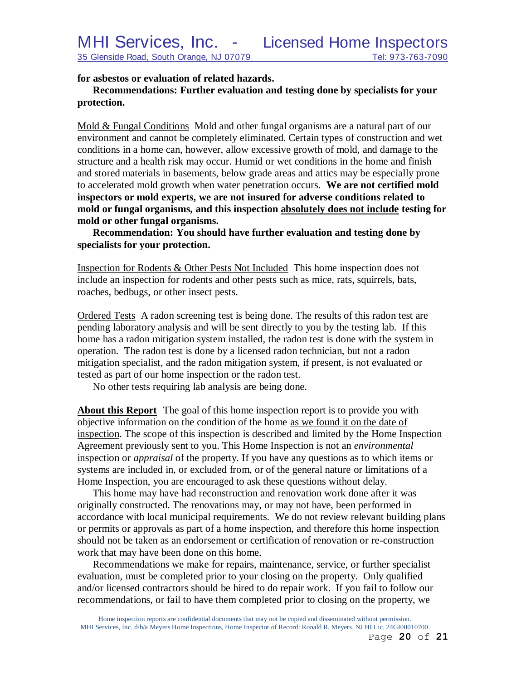**for asbestos or evaluation of related hazards.**

# **Recommendations: Further evaluation and testing done by specialists for your protection.**

Mold & Fungal Conditions Mold and other fungal organisms are a natural part of our environment and cannot be completely eliminated. Certain types of construction and wet conditions in a home can, however, allow excessive growth of mold, and damage to the structure and a health risk may occur. Humid or wet conditions in the home and finish and stored materials in basements, below grade areas and attics may be especially prone to accelerated mold growth when water penetration occurs. **We are not certified mold inspectors or mold experts, we are not insured for adverse conditions related to mold or fungal organisms, and this inspection absolutely does not include testing for mold or other fungal organisms.**

**Recommendation: You should have further evaluation and testing done by specialists for your protection.**

Inspection for Rodents & Other Pests Not Included This home inspection does not include an inspection for rodents and other pests such as mice, rats, squirrels, bats, roaches, bedbugs, or other insect pests.

Ordered Tests A radon screening test is being done. The results of this radon test are pending laboratory analysis and will be sent directly to you by the testing lab. If this home has a radon mitigation system installed, the radon test is done with the system in operation. The radon test is done by a licensed radon technician, but not a radon mitigation specialist, and the radon mitigation system, if present, is not evaluated or tested as part of our home inspection or the radon test.

No other tests requiring lab analysis are being done.

**About this Report** The goal of this home inspection report is to provide you with objective information on the condition of the home as we found it on the date of inspection. The scope of this inspection is described and limited by the Home Inspection Agreement previously sent to you. This Home Inspection is not an *environmental* inspection or *appraisal* of the property. If you have any questions as to which items or systems are included in, or excluded from, or of the general nature or limitations of a Home Inspection, you are encouraged to ask these questions without delay.

This home may have had reconstruction and renovation work done after it was originally constructed. The renovations may, or may not have, been performed in accordance with local municipal requirements. We do not review relevant building plans or permits or approvals as part of a home inspection, and therefore this home inspection should not be taken as an endorsement or certification of renovation or re-construction work that may have been done on this home.

Recommendations we make for repairs, maintenance, service, or further specialist evaluation, must be completed prior to your closing on the property. Only qualified and/or licensed contractors should be hired to do repair work. If you fail to follow our recommendations, or fail to have them completed prior to closing on the property, we